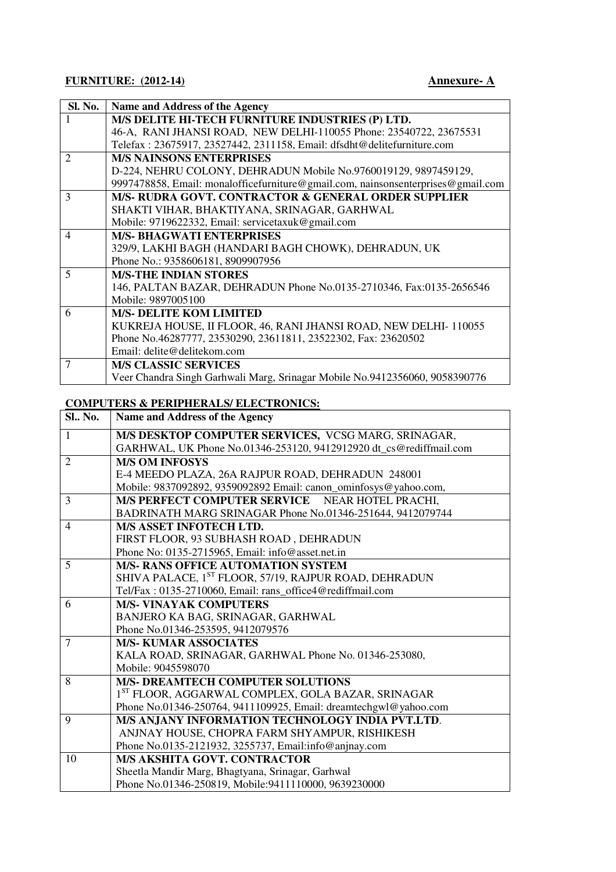| Sl. No.                     | Name and Address of the Agency                                                   |
|-----------------------------|----------------------------------------------------------------------------------|
|                             | M/S DELITE HI-TECH FURNITURE INDUSTRIES (P) LTD.                                 |
|                             | 46-A, RANI JHANSI ROAD, NEW DELHI-110055 Phone: 23540722, 23675531               |
|                             | Telefax: 23675917, 23527442, 2311158, Email: dfsdht@delitefurniture.com          |
| $\mathcal{D}_{\mathcal{L}}$ | <b>M/S NAINSONS ENTERPRISES</b>                                                  |
|                             | D-224, NEHRU COLONY, DEHRADUN Mobile No.9760019129, 9897459129,                  |
|                             | 9997478858, Email: monalofficefurniture@gmail.com, nainsonsenterprises@gmail.com |
| 3                           | M/S- RUDRA GOVT. CONTRACTOR & GENERAL ORDER SUPPLIER                             |
|                             | SHAKTI VIHAR, BHAKTIYANA, SRINAGAR, GARHWAL                                      |
|                             | Mobile: 9719622332, Email: servicetaxuk@gmail.com                                |
| $\overline{\mathcal{A}}$    | <b>M/S- BHAGWATI ENTERPRISES</b>                                                 |
|                             | 329/9, LAKHI BAGH (HANDARI BAGH CHOWK), DEHRADUN, UK                             |
|                             | Phone No.: 9358606181, 8909907956                                                |
| 5                           | <b>M/S-THE INDIAN STORES</b>                                                     |
|                             | 146, PALTAN BAZAR, DEHRADUN Phone No.0135-2710346, Fax:0135-2656546              |
|                             | Mobile: 9897005100                                                               |
| 6                           | <b>M/S- DELITE KOM LIMITED</b>                                                   |
|                             | KUKREJA HOUSE, II FLOOR, 46, RANI JHANSI ROAD, NEW DELHI- 110055                 |
|                             | Phone No.46287777, 23530290, 23611811, 23522302, Fax: 23620502                   |
|                             | Email: delite@delitekom.com                                                      |
| 7                           | <b>M/S CLASSIC SERVICES</b>                                                      |
|                             | Veer Chandra Singh Garhwali Marg, Srinagar Mobile No.9412356060, 9058390776      |

## **COMPUTERS & PERIPHERALS/ ELECTRONICS:**

| <b>Sl.</b> , No. | <b>Name and Address of the Agency</b>                              |
|------------------|--------------------------------------------------------------------|
| $\mathbf{1}$     | M/S DESKTOP COMPUTER SERVICES, VCSG MARG, SRINAGAR,                |
|                  | GARHWAL, UK Phone No.01346-253120, 9412912920 dt_cs@rediffmail.com |
| $\overline{2}$   | <b>M/S OM INFOSYS</b>                                              |
|                  | E-4 MEEDO PLAZA, 26A RAJPUR ROAD, DEHRADUN 248001                  |
|                  | Mobile: 9837092892, 9359092892 Email: canon_ominfosys@yahoo.com,   |
| 3                | <b>M/S PERFECT COMPUTER SERVICE</b><br>NEAR HOTEL PRACHI.          |
|                  | BADRINATH MARG SRINAGAR Phone No.01346-251644, 9412079744          |
| $\overline{4}$   | <b>M/S ASSET INFOTECH LTD.</b>                                     |
|                  | FIRST FLOOR, 93 SUBHASH ROAD, DEHRADUN                             |
|                  | Phone No: 0135-2715965, Email: info@asset.net.in                   |
| 5                | <b>M/S- RANS OFFICE AUTOMATION SYSTEM</b>                          |
|                  | SHIVA PALACE, 1ST FLOOR, 57/19, RAJPUR ROAD, DEHRADUN              |
|                  | Tel/Fax: 0135-2710060, Email: rans_office4@rediffmail.com          |
| 6                | <b>M/S- VINAYAK COMPUTERS</b>                                      |
|                  | BANJERO KA BAG, SRINAGAR, GARHWAL                                  |
|                  | Phone No.01346-253595, 9412079576                                  |
| 7                | <b>M/S- KUMAR ASSOCIATES</b>                                       |
|                  | KALA ROAD, SRINAGAR, GARHWAL Phone No. 01346-253080,               |
|                  | Mobile: 9045598070                                                 |
| 8                | <b>M/S- DREAMTECH COMPUTER SOLUTIONS</b>                           |
|                  | 1ST FLOOR, AGGARWAL COMPLEX, GOLA BAZAR, SRINAGAR                  |
|                  | Phone No.01346-250764, 9411109925, Email: dreamtechgwl@yahoo.com   |
| 9                | M/S ANJANY INFORMATION TECHNOLOGY INDIA PVT.LTD.                   |
|                  | ANJNAY HOUSE, CHOPRA FARM SHYAMPUR, RISHIKESH                      |
|                  | Phone No.0135-2121932, 3255737, Email:info@anjnay.com              |
| 10               | <b>M/S AKSHITA GOVT. CONTRACTOR</b>                                |
|                  | Sheetla Mandir Marg, Bhagtyana, Srinagar, Garhwal                  |
|                  | Phone No.01346-250819, Mobile:9411110000, 9639230000               |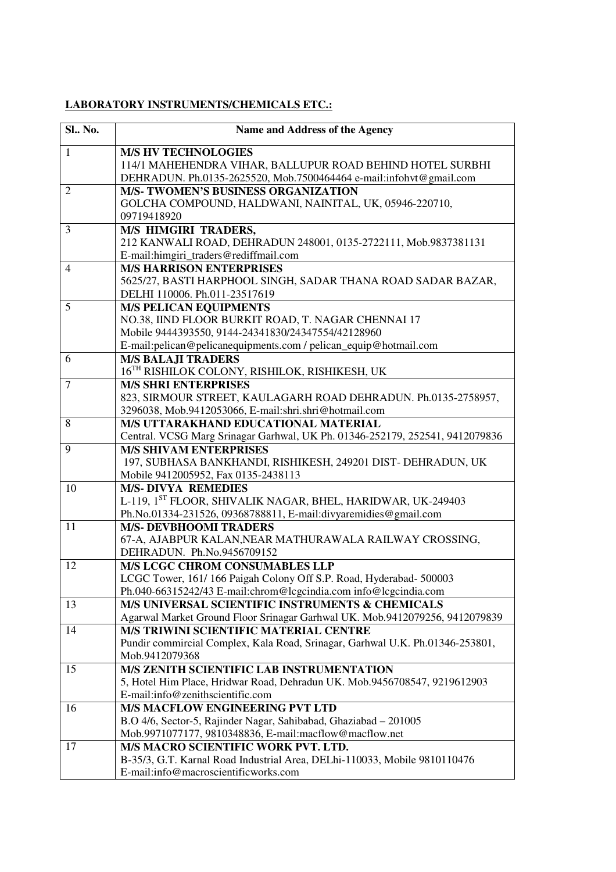## **LABORATORY INSTRUMENTS/CHEMICALS ETC.:**

| <b>Sl.</b> , No. | Name and Address of the Agency                                                                                             |
|------------------|----------------------------------------------------------------------------------------------------------------------------|
| $\mathbf{1}$     | <b>M/S HV TECHNOLOGIES</b>                                                                                                 |
|                  | 114/1 MAHEHENDRA VIHAR, BALLUPUR ROAD BEHIND HOTEL SURBHI                                                                  |
|                  | DEHRADUN. Ph.0135-2625520, Mob.7500464464 e-mail:infohvt@gmail.com                                                         |
| 2                | <b>M/S- TWOMEN'S BUSINESS ORGANIZATION</b>                                                                                 |
|                  | GOLCHA COMPOUND, HALDWANI, NAINITAL, UK, 05946-220710,<br>09719418920                                                      |
| 3                | <b>M/S HIMGIRI TRADERS,</b>                                                                                                |
|                  | 212 KANWALI ROAD, DEHRADUN 248001, 0135-2722111, Mob.9837381131                                                            |
|                  | E-mail:himgiri_traders@rediffmail.com                                                                                      |
| $\overline{4}$   | <b>M/S HARRISON ENTERPRISES</b>                                                                                            |
|                  | 5625/27, BASTI HARPHOOL SINGH, SADAR THANA ROAD SADAR BAZAR,                                                               |
|                  | DELHI 110006. Ph.011-23517619                                                                                              |
| 5                | <b>M/S PELICAN EQUIPMENTS</b>                                                                                              |
|                  | NO.38, IIND FLOOR BURKIT ROAD, T. NAGAR CHENNAI 17                                                                         |
|                  | Mobile 9444393550, 9144-24341830/24347554/42128960                                                                         |
|                  | E-mail:pelican@pelicanequipments.com / pelican_equip@hotmail.com                                                           |
| 6                | <b>M/S BALAJI TRADERS</b>                                                                                                  |
|                  | 16TH RISHILOK COLONY, RISHILOK, RISHIKESH, UK                                                                              |
| 7                | <b>M/S SHRI ENTERPRISES</b>                                                                                                |
|                  | 823, SIRMOUR STREET, KAULAGARH ROAD DEHRADUN. Ph.0135-2758957,                                                             |
|                  | 3296038, Mob.9412053066, E-mail:shri.shri@hotmail.com                                                                      |
| 8                | M/S UTTARAKHAND EDUCATIONAL MATERIAL                                                                                       |
|                  | Central. VCSG Marg Srinagar Garhwal, UK Ph. 01346-252179, 252541, 9412079836                                               |
| 9                | <b>M/S SHIVAM ENTERPRISES</b><br>197, SUBHASA BANKHANDI, RISHIKESH, 249201 DIST- DEHRADUN, UK                              |
|                  | Mobile 9412005952, Fax 0135-2438113                                                                                        |
| 10               | <b>M/S-DIVYA REMEDIES</b>                                                                                                  |
|                  | L-119, 1ST FLOOR, SHIVALIK NAGAR, BHEL, HARIDWAR, UK-249403                                                                |
|                  | Ph.No.01334-231526, 09368788811, E-mail:divyaremidies@gmail.com                                                            |
| 11               | <b>M/S- DEVBHOOMI TRADERS</b>                                                                                              |
|                  | 67-A, AJABPUR KALAN, NEAR MATHURAWALA RAILWAY CROSSING,                                                                    |
|                  | DEHRADUN. Ph.No.9456709152                                                                                                 |
| 12               | M/S LCGC CHROM CONSUMABLES LLP                                                                                             |
|                  | LCGC Tower, 161/166 Paigah Colony Off S.P. Road, Hyderabad-500003                                                          |
|                  | Ph.040-66315242/43 E-mail:chrom@lcgcindia.com info@lcgcindia.com                                                           |
| 13               | M/S UNIVERSAL SCIENTIFIC INSTRUMENTS & CHEMICALS                                                                           |
|                  | Agarwal Market Ground Floor Srinagar Garhwal UK. Mob.9412079256, 9412079839                                                |
| 14               | <b>M/S TRIWINI SCIENTIFIC MATERIAL CENTRE</b>                                                                              |
|                  | Pundir commircial Complex, Kala Road, Srinagar, Garhwal U.K. Ph.01346-253801,                                              |
|                  | Mob.9412079368                                                                                                             |
| 15               | M/S ZENITH SCIENTIFIC LAB INSTRUMENTATION                                                                                  |
|                  | 5, Hotel Him Place, Hridwar Road, Dehradun UK. Mob.9456708547, 9219612903<br>E-mail:info@zenithscientific.com              |
| 16               | <b>M/S MACFLOW ENGINEERING PVT LTD</b>                                                                                     |
|                  |                                                                                                                            |
|                  | B.O 4/6, Sector-5, Rajinder Nagar, Sahibabad, Ghaziabad - 201005<br>Mob.9971077177, 9810348836, E-mail:macflow@macflow.net |
| 17               | <b>M/S MACRO SCIENTIFIC WORK PVT. LTD.</b>                                                                                 |
|                  | B-35/3, G.T. Karnal Road Industrial Area, DELhi-110033, Mobile 9810110476                                                  |
|                  | E-mail:info@macroscientificworks.com                                                                                       |
|                  |                                                                                                                            |